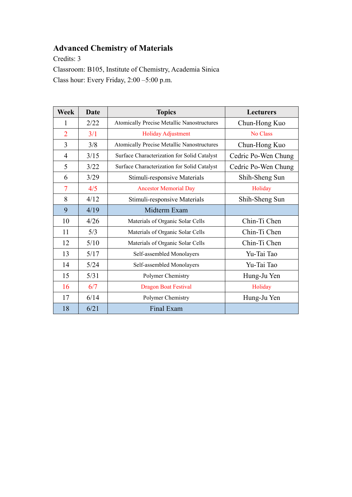## **Advanced Chemistry of Materials**

Credits: 3

Classroom: B105, Institute of Chemistry, Academia Sinica Class hour: Every Friday, 2:00 –5:00 p.m.

| <b>Week</b>    | <b>Date</b> | <b>Topics</b>                                     | <b>Lecturers</b>    |
|----------------|-------------|---------------------------------------------------|---------------------|
| 1              | 2/22        | <b>Atomically Precise Metallic Nanostructures</b> | Chun-Hong Kuo       |
| $\overline{2}$ | 3/1         | <b>Holiday Adjustment</b>                         | No Class            |
| 3              | 3/8         | <b>Atomically Precise Metallic Nanostructures</b> | Chun-Hong Kuo       |
| $\overline{4}$ | 3/15        | Surface Characterization for Solid Catalyst       | Cedric Po-Wen Chung |
| 5              | 3/22        | Surface Characterization for Solid Catalyst       | Cedric Po-Wen Chung |
| 6              | 3/29        | Stimuli-responsive Materials                      | Shih-Sheng Sun      |
| $\overline{7}$ | 4/5         | <b>Ancestor Memorial Day</b>                      | Holiday             |
| 8              | 4/12        | Stimuli-responsive Materials                      | Shih-Sheng Sun      |
| 9              | 4/19        | Midterm Exam                                      |                     |
| 10             | 4/26        | Materials of Organic Solar Cells                  | Chin-Ti Chen        |
| 11             | 5/3         | Materials of Organic Solar Cells                  | Chin-Ti Chen        |
| 12             | 5/10        | Materials of Organic Solar Cells                  | Chin-Ti Chen        |
| 13             | 5/17        | Self-assembled Monolayers                         | Yu-Tai Tao          |
| 14             | 5/24        | Self-assembled Monolayers                         | Yu-Tai Tao          |
| 15             | 5/31        | Polymer Chemistry                                 | Hung-Ju Yen         |
| 16             | 6/7         | <b>Dragon Boat Festival</b>                       | Holiday             |
| 17             | 6/14        | Polymer Chemistry                                 | Hung-Ju Yen         |
| 18             | 6/21        | Final Exam                                        |                     |